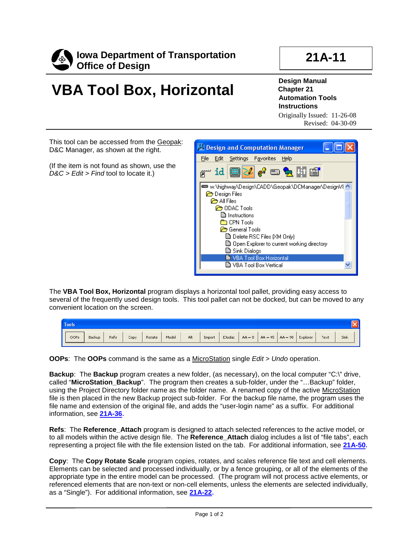

## **21A-11**

## **VBA Tool Box, Horizontal**

**Design Manual Chapter 21 Automation Tools Instructions**

Originally Issued: 11-26-08 Revised: 04-30-09

This tool can be accessed from the Geopak: D&C Manager, as shown at the right.

(If the item is not found as shown, use the *D&C > Edit > Find* tool to locate it.)



The **VBA Tool Box, Horizontal** program displays a horizontal tool pallet, providing easy access to several of the frequently used design tools. This tool pallet can not be docked, but can be moved to any convenient location on the screen.

| <b>Tools</b>   |      |      |        |       |     |        |        |          |                     |          |      |      |  |
|----------------|------|------|--------|-------|-----|--------|--------|----------|---------------------|----------|------|------|--|
| OOPs<br>Backup | Refs | Copy | Rotate | Model | Alt | Import | EJodac | $AA = 0$ | $AA = 45$ $AA = 90$ | Explorer | Text | Sink |  |

**OOPs**: The **OOPs** command is the same as a MicroStation single *Edit > Undo* operation.

**Backup**: The **Backup** program creates a new folder, (as necessary), on the local computer "C:\" drive, called "**MicroStation\_Backup**". The program then creates a sub-folder, under the "…Backup" folder, using the Project Directory folder name as the folder name. A renamed copy of the active MicroStation file is then placed in the new Backup project sub-folder. For the backup file name, the program uses the file name and extension of the original file, and adds the "user-login name" as a suffix. For additional information, see **21A-36.**

**Refs**: The **Reference\_Attach** program is designed to attach selected references to the active model, or to all models within the active design file. The **Reference\_Attach** dialog includes a list of "file tabs", each representing a project file with the file extension listed on the tab. For additional information, see **21A-50.**

**Copy**: The **Copy Rotate Scale** program copies, rotates, and scales reference file text and cell elements. Elements can be selected and processed individually, or by a fence grouping, or all of the elements of the appropriate type in the entire model can be processed. (The program will not process active elements, or referenced elements that are non-text or non-cell elements, unless the elements are selected individually, as a "Single"). For additional information, see **21A-22.**